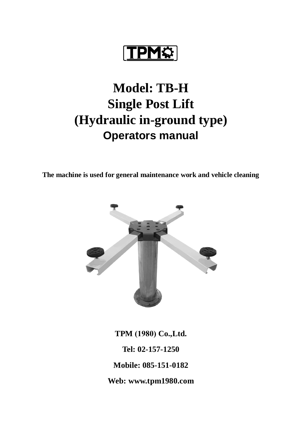**TPM**\$

# **Model: TB-H Single Post Lift (Hydraulic in-ground type) Operators manual**

**The machine is used for general maintenance work and vehicle cleaning**



**TPM (1980) Co.,Ltd. Tel: 02-157-1250 Mobile: 085-151-0182 Web: www.tpm1980.com**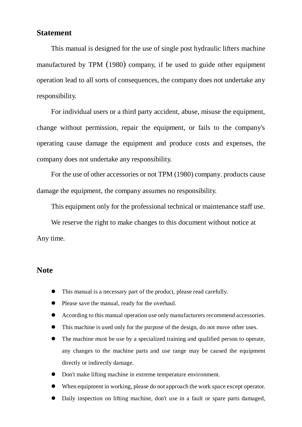### **Statement**

This manual is designed for the use of single post hydraulic lifters machine manufactured by TPM (1980) company, if be used to guide other equipment operation lead to all sorts of consequences, the company does not undertake any responsibility.

For individual users or a third party accident, abuse, misuse the equipment, change without permission, repair the equipment, or fails to the company's operating cause damage the equipment and produce costs and expenses, the company does not undertake any responsibility.

For the use of other accessories or not TPM (1980) company, products cause damage the equipment, the company assumes no responsibility.

This equipment only for the professional technical or maintenance staff use.

We reserve the right to make changes to this document without notice at Any time.

### **Note**

- This manual is a necessary part of the product, please read carefully.
- Please save the manual, ready for the overhaul.
- According to this manual operation use only manufacturers recommend accessories.
- This machine is used only for the purpose of the design, do not move other uses.
- The machine must be use by a specialized training and qualified person to operate, any changes to the machine parts and use range may be caused the equipment directly or indirectly damage.
- Don't make lifting machine in extreme temperature environment.
- When equipment in working, please do not approach the work space except operator.
- Daily inspection on lifting machine, don't use in a fault or spare parts damaged,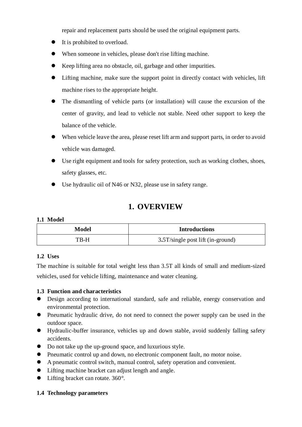repair and replacement parts should be used the original equipment parts.

- It is prohibited to overload.
- When someone in vehicles, please don't rise lifting machine.
- Keep lifting area no obstacle, oil, garbage and other impurities.
- Lifting machine, make sure the support point in directly contact with vehicles, lift machine rises to the appropriate height.
- The dismantling of vehicle parts (or installation) will cause the excursion of the center of gravity, and lead to vehicle not stable. Need other support to keep the balance of the vehicle.
- When vehicle leave the area, please reset lift arm and support parts, in order to avoid vehicle was damaged.
- Use right equipment and tools for safety protection, such as working clothes, shoes, safety glasses, etc.
- Use hydraulic oil of N46 or N32, please use in safety range.

### **1. OVERVIEW**

### **1.1 Model**

| Model | <b>Introductions</b>                 |
|-------|--------------------------------------|
| TB-H  | $3.5T$ /single post lift (in-ground) |

### **1.2 Uses**

The machine is suitable for total weight less than 3.5T all kinds of small and medium-sized vehicles, used for vehicle lifting, maintenance and water cleaning.

### **1.3 Function and characteristics**

- Design according to international standard, safe and reliable, energy conservation and environmental protection.
- Pneumatic hydraulic drive, do not need to connect the power supply can be used in the outdoor space.
- Hydraulic-buffer insurance, vehicles up and down stable, avoid suddenly falling safety accidents.
- Do not take up the up-ground space, and luxurious style.
- Pneumatic control up and down, no electronic component fault, no motor noise.
- A pneumatic control switch, manual control, safety operation and convenient.
- Lifting machine bracket can adjust length and angle.
- Lifting bracket can rotate. 360°.

### **1.4 Technology parameters**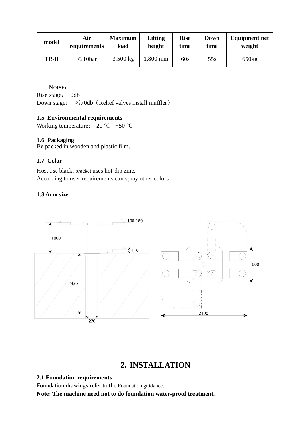| model | Air           | <b>Maximum</b> | Lifting  | <b>Rise</b> | Down | <b>Equipment net</b> |
|-------|---------------|----------------|----------|-------------|------|----------------------|
|       | requirements  | load           | height   | time        | time | weight               |
| TB-H  | $\leq 10$ bar | $3,500$ kg     | 1,800 mm | 60s         | 55s  | 650kg                |

### **NOISE**:

Rise stage: 0db

Down stage:  $\leq 70$ db (Relief valves install muffler)

### **1.5 Environmental requirements**

Working temperature:  $-20$  °C -  $+50$  °C

### **1.6 Packaging**

Be packed in wooden and plastic film.

### **1.7 Color**

Host use black, bracket uses hot-dip zinc. According to user requirements can spray other colors

### **1.8 Arm size**



## **2. INSTALLATION**

### **2.1 Foundation requirements**

Foundation drawings refer to the Foundation guidance.

**Note: The machine need not to do foundation water-proof treatment.**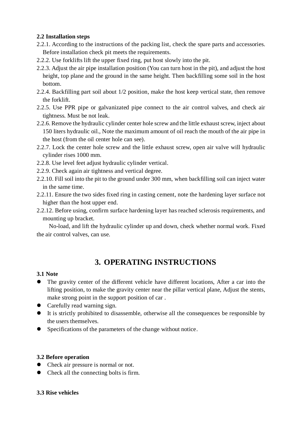### **2.2 Installation steps**

- 2.2.1. According to the instructions of the packing list, check the spare parts and accessories. Before installation check pit meets the requirements.
- 2.2.2. Use forklifts lift the upper fixed ring, put host slowly into the pit.
- 2.2.3. Adjust the air pipe installation position (You can turn host in the pit), and adjust the host height, top plane and the ground in the same height. Then backfilling some soil in the host bottom.
- 2.2.4. Backfilling part soil about 1/2 position, make the host keep vertical state, then remove the forklift.
- 2.2.5. Use PPR pipe or galvanizated pipe connect to the air control valves, and check air tightness. Must be not leak.
- 2.2.6. Remove the hydraulic cylinder center hole screw and the little exhaust screw, inject about 150 liters hydraulic oil., Note the maximum amount of oil reach the mouth of the air pipe in the host (from the oil center hole can see).
- 2.2.7. Lock the center hole screw and the little exhaust screw, open air valve will hydraulic cylinder rises 1000 mm.
- 2.2.8. Use level feet adjust hydraulic cylinder vertical.
- 2.2.9. Check again air tightness and vertical degree.
- 2.2.10. Fill soil into the pit to the ground under 300 mm, when backfilling soil can inject water in the same time.
- 2.2.11. Ensure the two sides fixed ring in casting cement, note the hardening layer surface not higher than the host upper end.
- 2.2.12. Before using, confirm surface hardening layer has reached sclerosis requirements, and mounting up bracket.

No-load, and lift the hydraulic cylinder up and down, check whether normal work. Fixed the air control valves, can use.

# **3. OPERATING INSTRUCTIONS**

### **3.1 Note**

- The gravity center of the different vehicle have different locations, After a car into the lifting position, to make the gravity center near the pillar vertical plane, Adjust the stents, make strong point in the support position of car .
- Carefully read warning sign.
- It is strictly prohibited to disassemble, otherwise all the consequences be responsible by the users themselves.
- Specifications of the parameters of the change without notice.

### **3.2 Before operation**

- Check air pressure is normal or not.
- Check all the connecting bolts is firm.

### **3.3 Rise vehicles**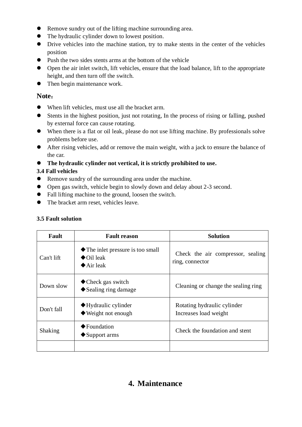- Remove sundry out of the lifting machine surrounding area.
- The hydraulic cylinder down to lowest position.
- Drive vehicles into the machine station, try to make stents in the center of the vehicles position
- Push the two sides stents arms at the bottom of the vehicle
- Open the air inlet switch, lift vehicles, ensure that the load balance, lift to the appropriate height, and then turn off the switch.
- Then begin maintenance work.

### **Note**:

- When lift vehicles, must use all the bracket arm.
- Stents in the highest position, just not rotating, In the process of rising or falling, pushed by external force can cause rotating.
- When there is a flat or oil leak, please do not use lifting machine. By professionals solve problems before use.
- After rising vehicles, add or remove the main weight, with a jack to ensure the balance of the car.

**The hydraulic cylinder not vertical, it is strictly prohibited to use.**

### **3.4 Fall vehicles**

- Remove sundry of the surrounding area under the machine.
- Open gas switch, vehicle begin to slowly down and delay about 2-3 second.
- Fall lifting machine to the ground, loosen the switch.
- The bracket arm reset, vehicles leave.

### **3.5 Fault solution**

| Fault      | <b>Fault reason</b>                                                                                | <b>Solution</b>                                      |  |  |
|------------|----------------------------------------------------------------------------------------------------|------------------------------------------------------|--|--|
| Can't lift | $\blacklozenge$ The inlet pressure is too small<br>$\bigcirc$ Oil leak<br>$\blacklozenge$ Air leak | Check the air compressor, sealing<br>ring, connector |  |  |
| Down slow  | ◆ Check gas switch<br>$\blacklozenge$ Sealing ring damage                                          | Cleaning or change the sealing ring                  |  |  |
| Don't fall | $\blacklozenge$ Hydraulic cylinder<br>$\blacklozenge$ Weight not enough                            | Rotating hydraulic cylinder<br>Increases load weight |  |  |
| Shaking    | $\blacktriangleright$ Foundation<br>$\blacklozenge$ Support arms                                   | Check the foundation and stent                       |  |  |
|            |                                                                                                    |                                                      |  |  |

# **4. Maintenance**